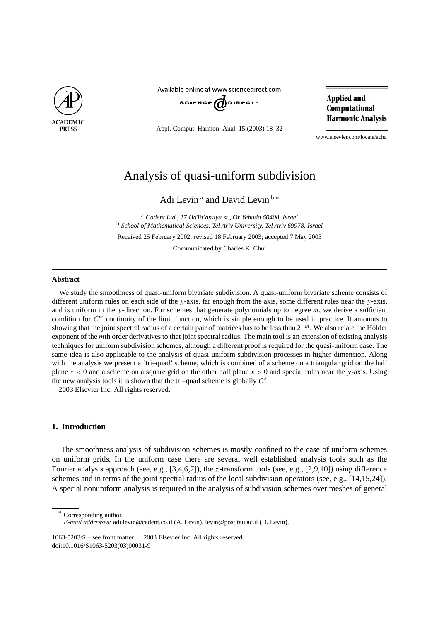

Available online at www.sciencedirect.com



Appl. Comput. Harmon. Anal. 15 (2003) 18–32

**Applied and** Computational **Harmonic Analysis** 

www.elsevier.com/locate/acha

# Analysis of quasi-uniform subdivision

Adi Levin<sup>a</sup> and David Levin<sup>b,\*</sup>

<sup>a</sup> *Cadent Ltd., 17 HaTa'assiya st., Or Yehuda 60408, Israel* <sup>b</sup> *School of Mathematical Sciences, Tel Aviv University, Tel Aviv 69978, Israel* Received 25 February 2002; revised 18 February 2003; accepted 7 May 2003

Communicated by Charles K. Chui

#### **Abstract**

We study the smoothness of quasi-uniform bivariate subdivision. A quasi-uniform bivariate scheme consists of different uniform rules on each side of the *y*-axis, far enough from the axis, some different rules near the *y*-axis, and is uniform in the *y*-direction. For schemes that generate polynomials up to degree *m*, we derive a sufficient condition for  $C^m$  continuity of the limit function, which is simple enough to be used in practice. It amounts to showing that the joint spectral radius of a certain pair of matrices has to be less than 2−*m*. We also relate the Hölder exponent of the *m*th order derivatives to that joint spectral radius. The main tool is an extension of existing analysis techniques for uniform subdivision schemes, although a different proof is required for the quasi-uniform case. The same idea is also applicable to the analysis of quasi-uniform subdivision processes in higher dimension. Along with the analysis we present a 'tri-quad' scheme, which is combined of a scheme on a triangular grid on the half plane *x <* 0 and a scheme on a square grid on the other half plane *x >* 0 and special rules near the *y*-axis. Using the new analysis tools it is shown that the tri–quad scheme is globally  $C^2$ . 2003 Elsevier Inc. All rights reserved.

## **1. Introduction**

The smoothness analysis of subdivision schemes is mostly confined to the case of uniform schemes on uniform grids. In the uniform case there are several well established analysis tools such as the Fourier analysis approach (see, e.g., [3,4,6,7]), the *z*-transform tools (see, e.g., [2,9,10]) using difference schemes and in terms of the joint spectral radius of the local subdivision operators (see, e.g., [14,15,24]). A special nonuniform analysis is required in the analysis of subdivision schemes over meshes of general

Corresponding author.

1063-5203/\$ – see front matter 2003 Elsevier Inc. All rights reserved. doi:10.1016/S1063-5203(03)00031-9

*E-mail addresses:* adi.levin@cadent.co.il (A. Levin), levin@post.tau.ac.il (D. Levin).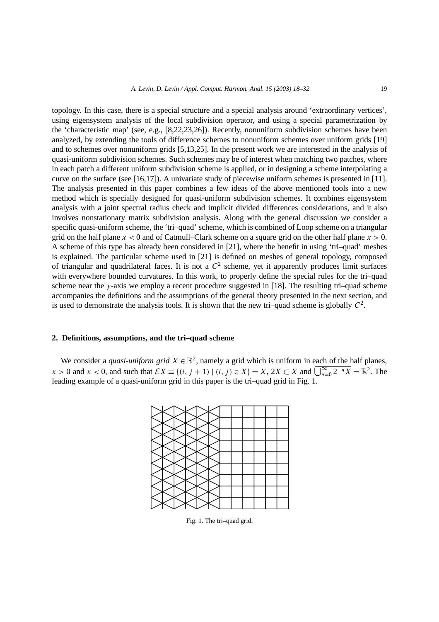topology. In this case, there is a special structure and a special analysis around 'extraordinary vertices', using eigensystem analysis of the local subdivision operator, and using a special parametrization by the 'characteristic map' (see, e.g., [8,22,23,26]). Recently, nonuniform subdivision schemes have been analyzed, by extending the tools of difference schemes to nonuniform schemes over uniform grids [19] and to schemes over nonuniform grids [5,13,25]. In the present work we are interested in the analysis of quasi-uniform subdivision schemes. Such schemes may be of interest when matching two patches, where in each patch a different uniform subdivision scheme is applied, or in designing a scheme interpolating a curve on the surface (see [16,17]). A univariate study of piecewise uniform schemes is presented in [11]. The analysis presented in this paper combines a few ideas of the above mentioned tools into a new method which is specially designed for quasi-uniform subdivision schemes. It combines eigensystem analysis with a joint spectral radius check and implicit divided differences considerations, and it also involves nonstationary matrix subdivision analysis. Along with the general discussion we consider a specific quasi-uniform scheme, the 'tri–quad' scheme, which is combined of Loop scheme on a triangular grid on the half plane  $x < 0$  and of Catmull–Clark scheme on a square grid on the other half plane  $x > 0$ . A scheme of this type has already been considered in [21], where the benefit in using 'tri–quad' meshes is explained. The particular scheme used in [21] is defined on meshes of general topology, composed of triangular and quadrilateral faces. It is not a  $C<sup>2</sup>$  scheme, yet it apparently produces limit surfaces with everywhere bounded curvatures. In this work, to properly define the special rules for the tri–quad scheme near the *y*-axis we employ a recent procedure suggested in [18]. The resulting tri–quad scheme accompanies the definitions and the assumptions of the general theory presented in the next section, and is used to demonstrate the analysis tools. It is shown that the new tri–quad scheme is globally *C*2.

## **2. Definitions, assumptions, and the tri–quad scheme**

We consider a *quasi-uniform grid*  $X \in \mathbb{R}^2$ , namely a grid which is uniform in each of the half planes, *x* > 0 and *x* < 0, and such that  $\mathcal{E}X$  ≡ {*(i, j* + 1) | *(i, j*) ∈ *X*} = *X*, 2*X* ⊂ *X* and  $\overline{\bigcup_{n=0}^{\infty} 2^{-n}X}$  =  $\mathbb{R}^2$ . The leading example of a quasi-uniform grid in this paper is the tri–quad grid in Fig. 1.



Fig. 1. The tri–quad grid.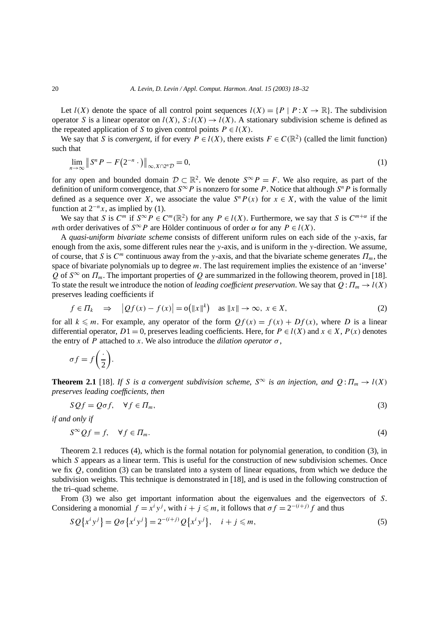Let  $l(X)$  denote the space of all control point sequences  $l(X) = \{P \mid P : X \to \mathbb{R}\}\.$  The subdivision operator *S* is a linear operator on  $l(X)$ ,  $S: l(X) \to l(X)$ . A stationary subdivision scheme is defined as the repeated application of *S* to given control points  $P \in l(X)$ .

We say that *S* is *convergent*, if for every  $P \in l(X)$ , there exists  $F \in C(\mathbb{R}^2)$  (called the limit function) such that

$$
\lim_{n \to \infty} \|S^n P - F(2^{-n} \cdot)\|_{\infty, X \cap 2^n D} = 0,
$$
\n(1)

for any open and bounded domain  $\mathcal{D} \subset \mathbb{R}^2$ . We denote  $S^{\infty}P = F$ . We also require, as part of the definition of uniform convergence, that  $S^{\infty}P$  is nonzero for some P. Notice that although  $S^n P$  is formally defined as a sequence over *X*, we associate the value  $S^n P(x)$  for  $x \in X$ , with the value of the limit function at  $2^{-n}x$ , as implied by (1).

We say that *S* is  $C^m$  if  $S^{\infty}P \in C^m(\mathbb{R}^2)$  for any  $P \in l(X)$ . Furthermore, we say that *S* is  $C^{m+\alpha}$  if the *m*th order derivatives of  $S^{\infty}P$  are Hölder continuous of order  $\alpha$  for any  $P \in l(X)$ .

A *quasi-uniform bivariate scheme* consists of different uniform rules on each side of the *y*-axis, far enough from the axis, some different rules near the *y*-axis, and is uniform in the *y*-direction. We assume, of course, that *S* is  $C^m$  continuous away from the *y*-axis, and that the bivariate scheme generates  $\Pi_m$ , the space of bivariate polynomials up to degree *m*. The last requirement implies the existence of an 'inverse' *Q* of  $S^{\infty}$  on  $\Pi_m$ . The important properties of *Q* are summarized in the following theorem, proved in [18]. To state the result we introduce the notion of *leading coefficient preservation*. We say that  $Q: \Pi_m \to l(X)$ preserves leading coefficients if

$$
f \in \Pi_k \quad \Rightarrow \quad \left| \mathcal{Q}f(x) - f(x) \right| = o\big( \|x\|^k \big) \quad \text{as } \|x\| \to \infty, \ x \in X,
$$

for all  $k \leq m$ . For example, any operator of the form  $Qf(x) = f(x) + Df(x)$ , where *D* is a linear differential operator, *D*1 = 0, preserves leading coefficients. Here, for  $P \in l(X)$  and  $x \in X$ ,  $P(x)$  denotes the entry of *P* attached to *x*. We also introduce the *dilation operator*  $\sigma$ ,

$$
\sigma f = f\left(\frac{\cdot}{2}\right).
$$

**Theorem 2.1** [18]. *If S is a convergent subdivision scheme,*  $S^{\infty}$  *is an injection, and*  $Q: \Pi_m \to l(X)$ *preserves leading coefficients, then*

$$
SQf = Q\sigma f, \quad \forall f \in \Pi_m,\tag{3}
$$

*if and only if*

$$
S^{\infty}Qf = f, \quad \forall f \in \Pi_m.
$$
\n<sup>(4)</sup>

Theorem 2.1 reduces (4), which is the formal notation for polynomial generation, to condition (3), in which *S* appears as a linear term. This is useful for the construction of new subdivision schemes. Once we fix *Q*, condition (3) can be translated into a system of linear equations, from which we deduce the subdivision weights. This technique is demonstrated in [18], and is used in the following construction of the tri–quad scheme.

From (3) we also get important information about the eigenvalues and the eigenvectors of *S*. Considering a monomial  $f = x^i y^j$ , with  $i + j \leq m$ , it follows that  $\sigma f = 2^{-(i+j)} f$  and thus

$$
SQ{xiyj} = Q\sigma{xiyj} = 2-(i+j)Q{xiyj}, \quad i + j \leq m,
$$
\n(5)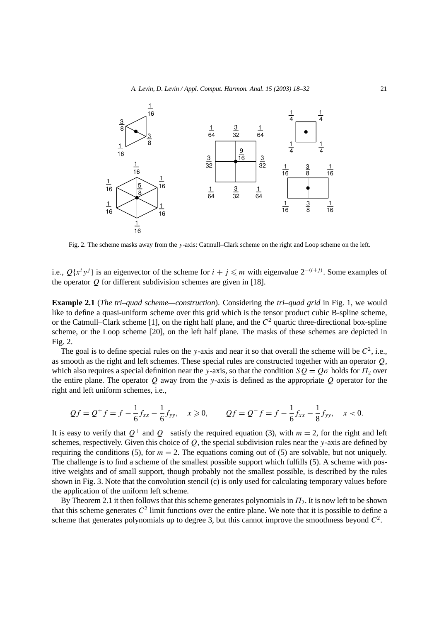

Fig. 2. The scheme masks away from the *y*-axis: Catmull–Clark scheme on the right and Loop scheme on the left.

i.e.,  $Q\{x^i y^j\}$  is an eigenvector of the scheme for  $i + j \leq m$  with eigenvalue  $2^{-(i+j)}$ . Some examples of the operator *Q* for different subdivision schemes are given in [18].

**Example 2.1** (*The tri–quad scheme—construction*). Considering the *tri–quad grid* in Fig. 1, we would like to define a quasi-uniform scheme over this grid which is the tensor product cubic B-spline scheme, or the Catmull–Clark scheme [1], on the right half plane, and the *C*<sup>2</sup> quartic three-directional box-spline scheme, or the Loop scheme [20], on the left half plane. The masks of these schemes are depicted in Fig. 2.

The goal is to define special rules on the *y*-axis and near it so that overall the scheme will be  $C^2$ , i.e., as smooth as the right and left schemes. These special rules are constructed together with an operator *Q*, which also requires a special definition near the *y*-axis, so that the condition  $SQ = Q\sigma$  holds for  $\Pi_2$  over the entire plane. The operator *Q* away from the *y*-axis is defined as the appropriate *Q* operator for the right and left uniform schemes, i.e.,

$$
Qf = Q^+f = f - \frac{1}{6}f_{xx} - \frac{1}{6}f_{yy}, \quad x \ge 0, \qquad Qf = Q^-f = f - \frac{1}{6}f_{xx} - \frac{1}{8}f_{yy}, \quad x < 0.
$$

It is easy to verify that  $Q^+$  and  $Q^-$  satisfy the required equation (3), with  $m = 2$ , for the right and left schemes, respectively. Given this choice of *Q*, the special subdivision rules near the *y*-axis are defined by requiring the conditions (5), for  $m = 2$ . The equations coming out of (5) are solvable, but not uniquely. The challenge is to find a scheme of the smallest possible support which fulfills (5). A scheme with positive weights and of small support, though probably not the smallest possible, is described by the rules shown in Fig. 3. Note that the convolution stencil (c) is only used for calculating temporary values before the application of the uniform left scheme.

By Theorem 2.1 it then follows that this scheme generates polynomials in  $\Pi_2$ . It is now left to be shown that this scheme generates  $C^2$  limit functions over the entire plane. We note that it is possible to define a scheme that generates polynomials up to degree 3, but this cannot improve the smoothness beyond  $C^2$ .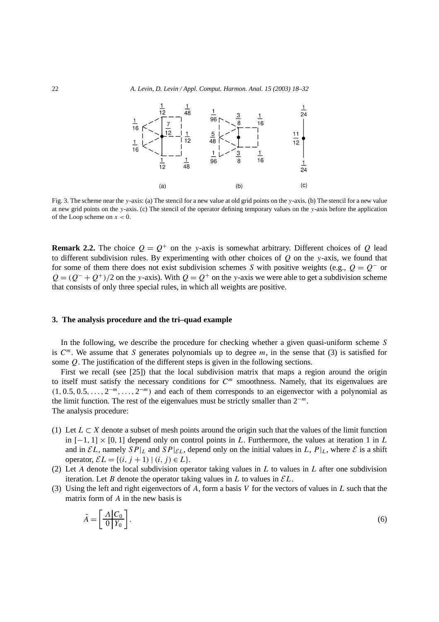

Fig. 3. The scheme near the *y*-axis: (a) The stencil for a new value at old grid points on the *y*-axis. (b) The stencil for a new value at new grid points on the *y*-axis. (c) The stencil of the operator defining temporary values on the *y*-axis before the application of the Loop scheme on *x <* 0.

**Remark 2.2.** The choice  $Q = Q^+$  on the *y*-axis is somewhat arbitrary. Different choices of *Q* lead to different subdivision rules. By experimenting with other choices of *Q* on the *y*-axis, we found that for some of them there does not exist subdivision schemes *S* with positive weights (e.g.,  $Q = Q^{-}$  or  $Q = (Q^- + Q^+)/2$  on the *y*-axis). With  $Q = Q^+$  on the *y*-axis we were able to get a subdivision scheme that consists of only three special rules, in which all weights are positive.

# **3. The analysis procedure and the tri–quad example**

In the following, we describe the procedure for checking whether a given quasi-uniform scheme *S* is  $C^m$ . We assume that *S* generates polynomials up to degree *m*, in the sense that (3) is satisfied for some *Q*. The justification of the different steps is given in the following sections.

First we recall (see [25]) that the local subdivision matrix that maps a region around the origin to itself must satisfy the necessary conditions for *C<sup>m</sup>* smoothness. Namely, that its eigenvalues are  $(1, 0.5, 0.5, \ldots, 2^{-m}, \ldots, 2^{-m})$  and each of them corresponds to an eigenvector with a polynomial as the limit function. The rest of the eigenvalues must be strictly smaller than 2<sup>−</sup>*<sup>m</sup>*. The analysis procedure:

- (1) Let  $L \subset X$  denote a subset of mesh points around the origin such that the values of the limit function in  $[-1, 1] \times [0, 1]$  depend only on control points in *L*. Furthermore, the values at iteration 1 in *L* and in  $\mathcal{E}L$ , namely  $SP|_L$  and  $SP|_{\mathcal{E}L}$ , depend only on the initial values in L,  $P|_L$ , where  $\mathcal E$  is a shift operator,  $\mathcal{E}L = \{(i, j + 1) | (i, j) \in L\}.$
- (2) Let *A* denote the local subdivision operator taking values in *L* to values in *L* after one subdivision iteration. Let *B* denote the operator taking values in *L* to values in  $\mathcal{E}L$ .
- (3) Using the left and right eigenvectors of *A*, form a basis *V* for the vectors of values in *L* such that the matrix form of *A* in the new basis is

$$
\tilde{A} = \left[\frac{A|C_0}{0|Y_0}\right].\tag{6}
$$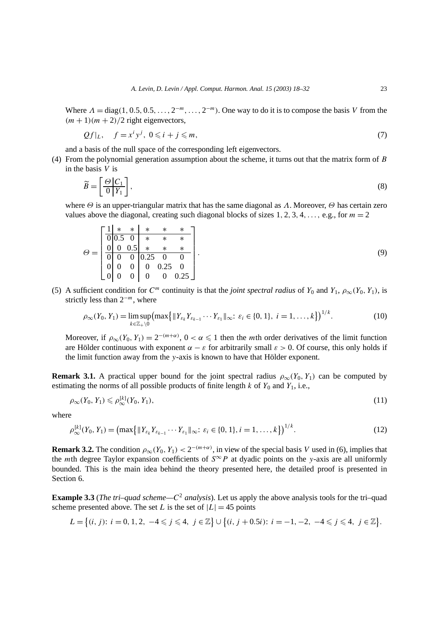Where  $\Lambda = \text{diag}(1, 0.5, 0.5, \ldots, 2^{-m}, \ldots, 2^{-m})$ . One way to do it is to compose the basis *V* from the  $(m + 1)(m + 2)/2$  right eigenvectors,

$$
Qf|_L, \quad f = x^i y^j, \ 0 \leqslant i + j \leqslant m,\tag{7}
$$

and a basis of the null space of the corresponding left eigenvectors.

(4) From the polynomial generation assumption about the scheme, it turns out that the matrix form of *B* in the basis *V* is

$$
\widetilde{B} = \left[\frac{\Theta \left|C_1}{0\right| Y_1}\right],\tag{8}
$$

where *Θ* is an upper-triangular matrix that has the same diagonal as *Λ*. Moreover, *Θ* has certain zero values above the diagonal, creating such diagonal blocks of sizes  $1, 2, 3, 4, \ldots$ , e.g., for  $m = 2$ 

$$
\Theta = \begin{bmatrix} \frac{1}{0} & * & * & * & * & * \\ \frac{0}{0} & 0.5 & 0 & * & * & * \\ \frac{0}{0} & 0 & 0.5 & * & * & * \\ \frac{0}{0} & 0 & 0 & 0.25 & 0 \\ 0 & 0 & 0 & 0 & 0.25 \end{bmatrix} .
$$
 (9)

(5) A sufficient condition for  $C^m$  continuity is that the *joint spectral radius* of  $Y_0$  and  $Y_1$ ,  $\rho_{\infty}(Y_0, Y_1)$ , is strictly less than 2<sup>−</sup>*<sup>m</sup>*, where

$$
\rho_{\infty}(Y_0, Y_1) = \limsup_{k \in \mathbb{Z}_+ \setminus 0} \left( \max \{ \|Y_{\varepsilon_k} Y_{\varepsilon_{k-1}} \cdots Y_{\varepsilon_1} \|_{\infty} : \, \varepsilon_i \in \{0, 1\}, \, i = 1, \ldots, k \} \right)^{1/k}.
$$
 (10)

Moreover, if  $\rho_{\infty}(Y_0, Y_1) = 2^{-(m+\alpha)}$ ,  $0 < \alpha \leq 1$  then the *m*th order derivatives of the limit function are Hölder continuous with exponent  $\alpha - \varepsilon$  for arbitrarily small  $\varepsilon > 0$ . Of course, this only holds if the limit function away from the *y*-axis is known to have that Hölder exponent.

**Remark 3.1.** A practical upper bound for the joint spectral radius  $\rho_{\infty}(Y_0, Y_1)$  can be computed by estimating the norms of all possible products of finite length  $k$  of  $Y_0$  and  $Y_1$ , i.e.,

$$
\rho_{\infty}(Y_0, Y_1) \leqslant \rho_{\infty}^{[k]}(Y_0, Y_1),\tag{11}
$$

where

$$
\rho_{\infty}^{[k]}(Y_0, Y_1) = \left(\max\left\{\|Y_{\varepsilon_k}Y_{\varepsilon_{k-1}}\cdots Y_{\varepsilon_1}\|_{\infty}; \ \varepsilon_i \in \{0, 1\}, i = 1, \ldots, k\right\}\right)^{1/k}.\tag{12}
$$

**Remark 3.2.** The condition  $\rho_{\infty}(Y_0, Y_1) < 2^{-(m+\alpha)}$ , in view of the special basis *V* used in (6), implies that the *m*th degree Taylor expansion coefficients of  $S^{\infty}P$  at dyadic points on the *y*-axis are all uniformly bounded. This is the main idea behind the theory presented here, the detailed proof is presented in Section 6.

**Example 3.3** (*The tri–quad scheme—C*<sup>2</sup> *analysis*). Let us apply the above analysis tools for the tri–quad scheme presented above. The set *L* is the set of  $|L| = 45$  points

$$
L = \{(i, j): i = 0, 1, 2, -4 \leq j \leq 4, j \in \mathbb{Z}\} \cup \{(i, j + 0.5i): i = -1, -2, -4 \leq j \leq 4, j \in \mathbb{Z}\}.
$$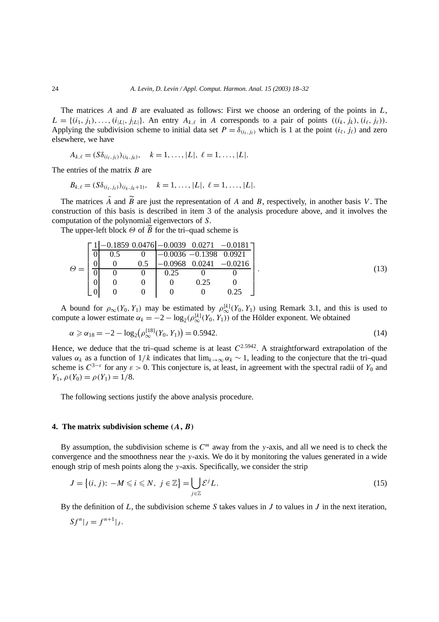The matrices *A* and *B* are evaluated as follows: First we choose an ordering of the points in *L*,  $L = \{(i_1, j_1), \ldots, (i_{|L|}, j_{|L|}\}\)$ . An entry  $A_{k,\ell}$  in *A* corresponds to a pair of points  $((i_k, j_k), (i_\ell, j_\ell))$ . Applying the subdivision scheme to initial data set  $P = \delta_{(i_k, j_k)}$  which is 1 at the point  $(i_\ell, j_\ell)$  and zero elsewhere, we have

$$
A_{k,\ell} = (S\delta_{(i_{\ell},j_{\ell})})_{(i_k,j_k)}, \quad k = 1,\ldots, |L|, \ell = 1,\ldots, |L|.
$$

The entries of the matrix *B* are

$$
B_{k,\ell} = (S\delta_{(i_{\ell},j_{\ell})})_{(i_k,j_k+1)}, \quad k = 1,\ldots, |L|, \ell = 1,\ldots, |L|.
$$

The matrices  $\tilde{A}$  and  $\tilde{B}$  are just the representation of *A* and *B*, respectively, in another basis *V*. The construction of this basis is described in item 3 of the analysis procedure above, and it involves the computation of the polynomial eigenvectors of *S*.

The upper-left block *Θ* of *B* for the tri–quad scheme is

$$
\Theta = \begin{bmatrix} \frac{11 - 0.1859 \ 0.0476 - 0.0039 \ 0.0271 \ -0.0181} \\ 0 & 0.5 \ 0 & -0.0036 \ -0.1398 \ 0.0921 \\ 0 & 0 & 0.5 \ -0.0968 \ 0.0241 \ -0.0216 \\ 0 & 0 & 0.25 \ 0 & 0 \\ 0 & 0 & 0 & 0.25 \ 0 \end{bmatrix} . \tag{13}
$$

A bound for  $\rho_{\infty}(Y_0, Y_1)$  may be estimated by  $\rho_{\infty}^{[k]}(Y_0, Y_1)$  using Remark 3.1, and this is used to compute a lower estimate  $\alpha_k = -2 - \log_2(\rho_{\infty}^{[k]}(Y_0, Y_1))$  of the Hölder exponent. We obtained

$$
\alpha \geq \alpha_{18} = -2 - \log_2(\rho_{\infty}^{[18]}(Y_0, Y_1)) = 0.5942. \tag{14}
$$

Hence, we deduce that the tri–quad scheme is at least  $C^{2.5942}$ . A straightforward extrapolation of the values  $\alpha_k$  as a function of  $1/k$  indicates that  $\lim_{k\to\infty} \alpha_k \sim 1$ , leading to the conjecture that the tri–quad scheme is  $C^{3-\varepsilon}$  for any  $\varepsilon > 0$ . This conjecture is, at least, in agreement with the spectral radii of  $Y_0$  and *Y*<sub>1</sub>,  $\rho(Y_0) = \rho(Y_1) = 1/8$ .

The following sections justify the above analysis procedure.

#### **4. The matrix subdivision scheme** *(A, B)*

By assumption, the subdivision scheme is  $C<sup>m</sup>$  away from the *y*-axis, and all we need is to check the convergence and the smoothness near the *y*-axis. We do it by monitoring the values generated in a wide enough strip of mesh points along the *y*-axis. Specifically, we consider the strip

$$
J = \{(i, j): -M \leqslant i \leqslant N, j \in \mathbb{Z}\} = \bigcup_{j \in \mathbb{Z}} \mathcal{E}^j L. \tag{15}
$$

By the definition of *L*, the subdivision scheme *S* takes values in *J* to values in *J* in the next iteration,

$$
Sf^n|_J = f^{n+1}|_J.
$$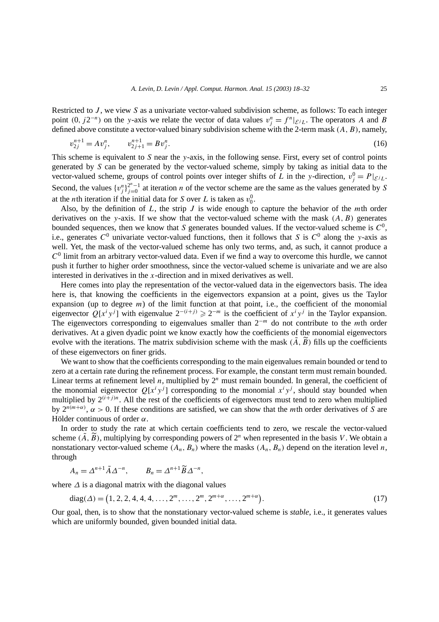Restricted to *J* , we view *S* as a univariate vector-valued subdivision scheme, as follows: To each integer point  $(0, j2^{-n})$  on the *y*-axis we relate the vector of data values  $v_j^n = f^n|_{\mathcal{E}^jL}$ . The operators *A* and *B* defined above constitute a vector-valued binary subdivision scheme with the 2-term mask *(A, B)*, namely,

$$
v_{2j}^{n+1} = Av_j^n, \qquad v_{2j+1}^{n+1} = Bv_j^n. \tag{16}
$$

This scheme is equivalent to *S* near the *y*-axis, in the following sense. First, every set of control points generated by *S* can be generated by the vector-valued scheme, simply by taking as initial data to the vector-valued scheme, groups of control points over integer shifts of *L* in the *y*-direction,  $v_j^0 = P|_{E/L}$ . Second, the values  $\{v_j^n\}_{j=0}^{2^n-1}$  at iteration *n* of the vector scheme are the same as the values generated by *S* at the *n*th iteration if the initial data for *S* over *L* is taken as  $v_0^0$ .

Also, by the definition of *L*, the strip *J* is wide enough to capture the behavior of the *m*th order derivatives on the *y*-axis. If we show that the vector-valued scheme with the mask *(A, B)* generates bounded sequences, then we know that *S* generates bounded values. If the vector-valued scheme is  $C^0$ , i.e., generates  $C^0$  univariate vector-valued functions, then it follows that *S* is  $C^0$  along the *y*-axis as well. Yet, the mask of the vector-valued scheme has only two terms, and, as such, it cannot produce a  $C<sup>0</sup>$  limit from an arbitrary vector-valued data. Even if we find a way to overcome this hurdle, we cannot push it further to higher order smoothness, since the vector-valued scheme is univariate and we are also interested in derivatives in the *x*-direction and in mixed derivatives as well.

Here comes into play the representation of the vector-valued data in the eigenvectors basis. The idea here is, that knowing the coefficients in the eigenvectors expansion at a point, gives us the Taylor expansion (up to degree  $m$ ) of the limit function at that point, i.e., the coefficient of the monomial eigenvector  $Q[x^i y^j]$  with eigenvalue  $2^{-(i+j)} \ge 2^{-m}$  is the coefficient of  $x^i y^j$  in the Taylor expansion. The eigenvectors corresponding to eigenvalues smaller than 2<sup>−</sup>*<sup>m</sup>* do not contribute to the *m*th order derivatives. At a given dyadic point we know exactly how the coefficients of the monomial eigenvectors evolve with the iterations. The matrix subdivision scheme with the mask  $(\tilde{A}, \tilde{B})$  fills up the coefficients of these eigenvectors on finer grids.

We want to show that the coefficients corresponding to the main eigenvalues remain bounded or tend to zero at a certain rate during the refinement process. For example, the constant term must remain bounded. Linear terms at refinement level *n*, multiplied by  $2^n$  must remain bounded. In general, the coefficient of the monomial eigenvector  $Q[x^i y^j]$  corresponding to the monomial  $x^i y^j$ , should stay bounded when multiplied by  $2^{(i+j)n}$ . All the rest of the coefficients of eigenvectors must tend to zero when multiplied by  $2^{n(m+\alpha)}$ ,  $\alpha > 0$ . If these conditions are satisfied, we can show that the *m*th order derivatives of *S* are Hölder continuous of order *α*.

In order to study the rate at which certain coefficients tend to zero, we rescale the vector-valued scheme  $(\tilde{A}, \tilde{B})$ , multiplying by corresponding powers of  $2^n$  when represented in the basis *V*. We obtain a nonstationary vector-valued scheme  $(A_n, B_n)$  where the masks  $(A_n, B_n)$  depend on the iteration level *n*, through

$$
A_n = \Delta^{n+1} \tilde{A} \Delta^{-n}, \qquad B_n = \Delta^{n+1} \tilde{B} \Delta^{-n},
$$

where *∆* is a diagonal matrix with the diagonal values

diag(
$$
\Delta
$$
) = (1, 2, 2, 4, 4, 4, ..., 2<sup>m</sup>, ..., 2<sup>m</sup>, 2<sup>m+\alpha</sup>, ..., 2<sup>m+\alpha</sup>). (17)

Our goal, then, is to show that the nonstationary vector-valued scheme is *stable*, i.e., it generates values which are uniformly bounded, given bounded initial data.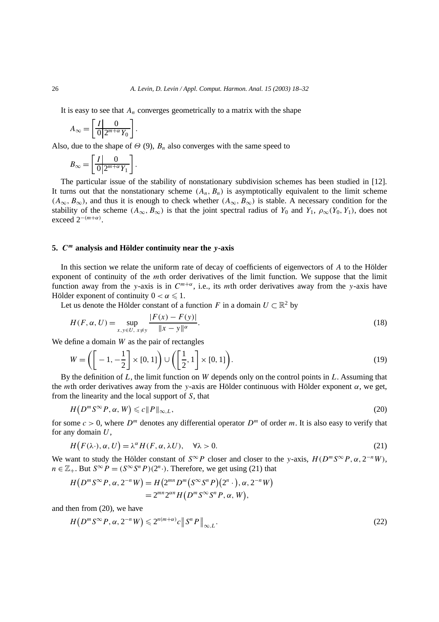It is easy to see that  $A_n$  converges geometrically to a matrix with the shape

$$
A_{\infty} = \left[ \frac{I}{0} \frac{0}{2^{m+\alpha} Y_0} \right].
$$

Also, due to the shape of  $\Theta$  (9),  $B_n$  also converges with the same speed to

$$
B_{\infty} = \left[ \frac{I}{0} \frac{0}{2^{m+\alpha} Y_1} \right].
$$

The particular issue of the stability of nonstationary subdivision schemes has been studied in [12]. It turns out that the nonstationary scheme  $(A_n, B_n)$  is asymptotically equivalent to the limit scheme  $(A_{\infty}, B_{\infty})$ , and thus it is enough to check whether  $(A_{\infty}, B_{\infty})$  is stable. A necessary condition for the stability of the scheme  $(A_{\infty}, B_{\infty})$  is that the joint spectral radius of  $Y_0$  and  $Y_1, \rho_{\infty}(Y_0, Y_1)$ , does not exceed  $2^{-(m+\alpha)}$ .

# **5.** *C<sup>m</sup>* **analysis and Hölder continuity near the** *y***-axis**

In this section we relate the uniform rate of decay of coefficients of eigenvectors of *A* to the Hölder exponent of continuity of the *m*th order derivatives of the limit function. We suppose that the limit function away from the *y*-axis is in  $C^{m+\alpha}$ , i.e., its *m*th order derivatives away from the *y*-axis have Hölder exponent of continuity  $0 < \alpha \leq 1$ .

Let us denote the Hölder constant of a function *F* in a domain  $U \subset \mathbb{R}^2$  by

$$
H(F, \alpha, U) = \sup_{x, y \in U, x \neq y} \frac{|F(x) - F(y)|}{\|x - y\|^{\alpha}}.
$$
\n(18)

We define a domain *W* as the pair of rectangles

$$
W = \left( \left[ -1, -\frac{1}{2} \right] \times [0, 1] \right) \cup \left( \left[ \frac{1}{2}, 1 \right] \times [0, 1] \right). \tag{19}
$$

By the definition of *L*, the limit function on *W* depends only on the control points in *L*. Assuming that the *m*th order derivatives away from the *y*-axis are Hölder continuous with Hölder exponent *α*, we get, from the linearity and the local support of *S*, that

$$
H(D^m S^\infty P, \alpha, W) \leqslant c \|P\|_{\infty, L},\tag{20}
$$

for some  $c > 0$ , where  $D^m$  denotes any differential operator  $D^m$  of order *m*. It is also easy to verify that for any domain *U*,

$$
H(F(\lambda \cdot), \alpha, U) = \lambda^{\alpha} H(F, \alpha, \lambda U), \quad \forall \lambda > 0.
$$
\n<sup>(21)</sup>

We want to study the Hölder constant of  $S^{\infty}P$  closer and closer to the *y*-axis,  $H(D^mS^{\infty}P, \alpha, 2^{-n}W)$ , *n* ∈  $\mathbb{Z}_+$ . But  $S^{\infty}P = (S^{\infty}S^nP)(2^n)$ . Therefore, we get using (21) that

$$
H(D^m S^{\infty} P, \alpha, 2^{-n} W) = H(2^{mn} D^m (S^{\infty} S^n P)(2^n \cdot), \alpha, 2^{-n} W)
$$
  
= 
$$
2^{mn} 2^{\alpha n} H(D^m S^{\infty} S^n P, \alpha, W),
$$

and then from (20), we have

$$
H(D^m S^{\infty} P, \alpha, 2^{-n} W) \leqslant 2^{n(m+\alpha)} c \| S^n P \|_{\infty, L}.
$$
\n<sup>(22)</sup>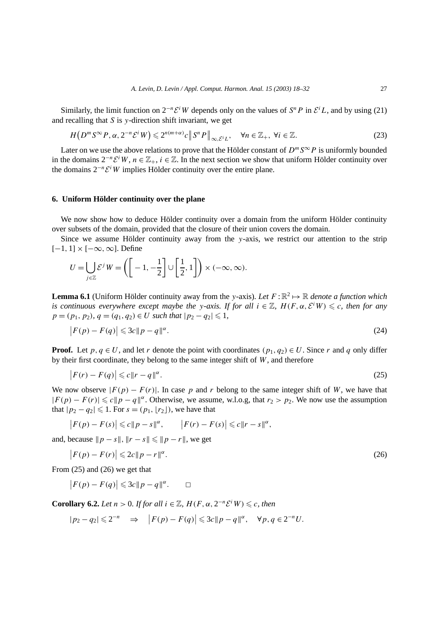Similarly, the limit function on  $2^{-n}\mathcal{E}^iW$  depends only on the values of  $S^nP$  in  $\mathcal{E}^iL$ , and by using (21) and recalling that *S* is *y*-direction shift invariant, we get

$$
H(D^m S^{\infty} P, \alpha, 2^{-n} \mathcal{E}^i W) \leq 2^{n(m+\alpha)} c \|S^n P\|_{\infty, \mathcal{E}^i L}, \quad \forall n \in \mathbb{Z}_+, \forall i \in \mathbb{Z}.
$$
 (23)

Later on we use the above relations to prove that the Hölder constant of  $D^m S^{\infty} P$  is uniformly bounded in the domains  $2^{-n}\mathcal{E}^i W$ ,  $n \in \mathbb{Z}_+$ ,  $i \in \mathbb{Z}$ . In the next section we show that uniform Hölder continuity over the domains  $2^{-n}\mathcal{E}^i W$  implies Hölder continuity over the entire plane.

## **6. Uniform Hölder continuity over the plane**

We now show how to deduce Hölder continuity over a domain from the uniform Hölder continuity over subsets of the domain, provided that the closure of their union covers the domain.

Since we assume Hölder continuity away from the *y*-axis, we restrict our attention to the strip [−1*,* 1] × [−∞*,*∞]. Define

$$
U = \bigcup_{j \in \mathbb{Z}} \mathcal{E}^j W = \left( \left[ -1, -\frac{1}{2} \right] \cup \left[ \frac{1}{2}, 1 \right] \right) \times (-\infty, \infty).
$$

**Lemma 6.1** (Uniform Hölder continuity away from the *y*-axis). Let  $F: \mathbb{R}^2 \to \mathbb{R}$  denote a function which *is continuous everywhere except maybe the y-axis. If for all*  $i \in \mathbb{Z}$ ,  $H(F, \alpha, \mathcal{E}^i W) \leq c$ , then for any  $p = (p_1, p_2), q = (q_1, q_2) \in U$  *such that*  $|p_2 - q_2| \leq 1$ *,* 

$$
\left| F(p) - F(q) \right| \leqslant 3c \|p - q\|^{\alpha}.
$$
\n<sup>(24)</sup>

**Proof.** Let  $p, q \in U$ , and let *r* denote the point with coordinates  $(p_1, q_2) \in U$ . Since *r* and *q* only differ by their first coordinate, they belong to the same integer shift of *W*, and therefore

$$
\left| F(r) - F(q) \right| \leqslant c \|r - q\|^{\alpha}.
$$
\n<sup>(25)</sup>

We now observe  $|F(p) - F(r)|$ . In case p and r belong to the same integer shift of W, we have that  $|F(p) - F(r)| \leq c \|p - q\|^{\alpha}$ . Otherwise, we assume, w.l.o.g, that  $r_2 > p_2$ . We now use the assumption that  $|p_2 - q_2|$  ≤ 1. For  $s = (p_1, |r_2|)$ , we have that

$$
\big|F(p)-F(s)\big|\leqslant c\|p-s\|^{\alpha},\qquad \big|F(r)-F(s)\big|\leqslant c\|r-s\|^{\alpha},
$$

and, because  $\|p - s\|$ ,  $\|r - s\| \leq \|p - r\|$ , we get

$$
\left| F(p) - F(r) \right| \leqslant 2c \| p - r \|^{\alpha}.
$$
\n<sup>(26)</sup>

From (25) and (26) we get that

$$
\big|F(p) - F(q)\big| \leqslant 3c \|p - q\|^{\alpha}.\qquad \Box
$$

**Corollary 6.2.** *Let*  $n > 0$ *. If for all*  $i \in \mathbb{Z}$ *,*  $H(F, \alpha, 2^{-n}\mathcal{E}^i W) \leq c$ *, then* 

$$
|p_2 - q_2| \leq 2^{-n} \quad \Rightarrow \quad |F(p) - F(q)| \leq 3c||p - q||^{\alpha}, \quad \forall p, q \in 2^{-n}U.
$$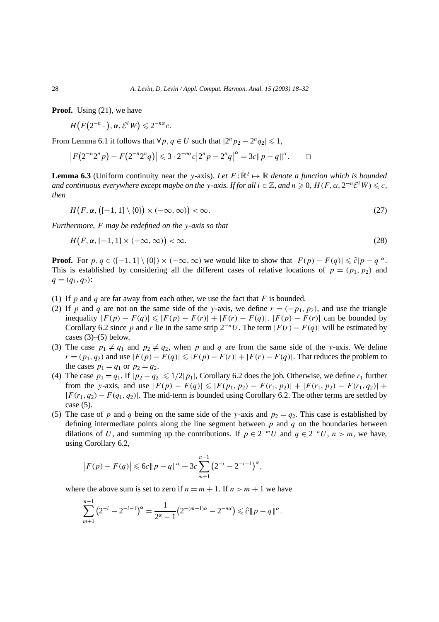**Proof.** Using (21), we have

 $H(F(2^{-n}\cdot), \alpha, \mathcal{E}^i W) \leq 2^{-n\alpha}c.$ 

From Lemma 6.1 it follows that  $\forall p, q \in U$  such that  $|2^n p_2 - 2^n q_2| \leq 1$ ,

 $|F(2^{-n}2^{n}p) - F(2^{-n}2^{n}q)| \leq 3 \cdot 2^{-n\alpha}c|2^{n}p - 2^{n}q|^\alpha = 3c||p - q||^\alpha.$ 

**Lemma 6.3** (Uniform continuity near the *y*-axis). Let  $F: \mathbb{R}^2 \mapsto \mathbb{R}$  denote a function which is bounded *and continuous everywhere except maybe on the <i>y*-axis. If for all  $i \in \mathbb{Z}$ , and  $n \ge 0$ ,  $H(F, \alpha, 2^{-n}\mathcal{E}^i W) \le c$ , *then*

$$
H(F, \alpha, \left( [-1, 1] \setminus \{0\} \right) \times (-\infty, \infty)) < \infty.
$$
\n
$$
(27)
$$

*Furthermore, F may be redefined on the y-axis so that*

$$
H(F, \alpha, [-1, 1] \times (-\infty, \infty)) < \infty.
$$
\n<sup>(28)</sup>

**Proof.** For  $p, q \in ([-1, 1] \setminus \{0\}) \times (-\infty, \infty)$  we would like to show that  $|F(p) - F(q)| \leq \tilde{c}|p - q|^{\alpha}$ . This is established by considering all the different cases of relative locations of  $p = (p_1, p_2)$  and  $q = (q_1, q_2)$ :

- (1) If *p* and *q* are far away from each other, we use the fact that *F* is bounded.
- (2) If *p* and *q* are not on the same side of the *y*-axis, we define  $r = (-p_1, p_2)$ , and use the triangle  $\text{inequality}$   $|F(p) - F(q)| \le |F(p) - F(r)| + |F(r) - F(q)|$ .  $|F(p) - F(r)|$  can be bounded by Corollary 6.2 since *p* and *r* lie in the same strip  $2^{-n}U$ . The term  $|F(r) - F(q)|$  will be estimated by cases  $(3)$ – $(5)$  below.
- (3) The case  $p_1 \neq q_1$  and  $p_2 \neq q_2$ , when p and q are from the same side of the *y*-axis. We define *r* =  $(p_1, q_2)$  and use  $|F(p) - F(q)| \le |F(p) - F(r)| + |F(r) - F(q)|$ . That reduces the problem to the cases  $p_1 = q_1$  or  $p_2 = q_2$ .
- (4) The case  $p_1 = q_1$ . If  $|p_2 q_2| \leq 1/2|p_1|$ , Corollary 6.2 does the job. Otherwise, we define  $r_1$  further from the *y*-axis, and use  $|F(p) - F(q)| \leq |F(p_1, p_2) - F(r_1, p_2)| + |F(r_1, p_2) - F(r_1, q_2)| +$  $|F(r_1, q_2) - F(q_1, q_2)|$ . The mid-term is bounded using Corollary 6.2. The other terms are settled by case (5).
- (5) The case of *p* and *q* being on the same side of the *y*-axis and  $p_2 = q_2$ . This case is established by defining intermediate points along the line segment between *p* and *q* on the boundaries between dilations of *U*, and summing up the contributions. If  $p \in 2^{-m}U$  and  $q \in 2^{-n}U$ ,  $n > m$ , we have, using Corollary 6.2,

$$
\left|F(p) - F(q)\right| \leqslant 6c\|p - q\|^{\alpha} + 3c\sum_{m+1}^{n-1} \left(2^{-i} - 2^{-i-1}\right)^{\alpha},
$$

where the above sum is set to zero if  $n = m + 1$ . If  $n > m + 1$  we have

$$
\sum_{m+1}^{n-1} (2^{-i} - 2^{-i-1})^{\alpha} = \frac{1}{2^{\alpha} - 1} (2^{-(m+1)\alpha} - 2^{-n\alpha}) \leq \hat{c} ||p - q||^{\alpha}.
$$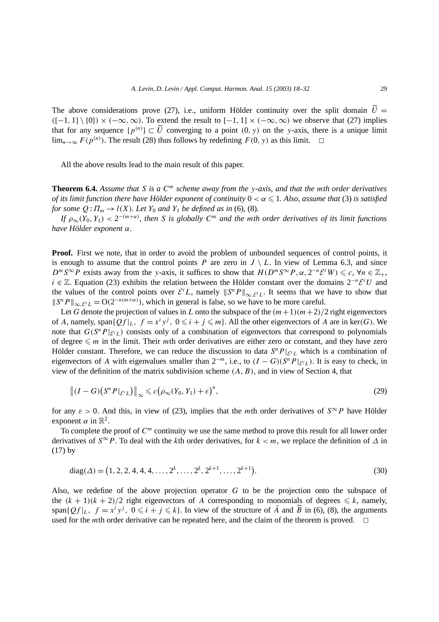The above considerations prove (27), i.e., uniform Hölder continuity over the split domain  $\hat{U} =$  $([-1, 1] \setminus \{0\}) \times (-\infty, \infty)$ . To extend the result to  $[-1, 1] \times (-\infty, \infty)$  we observe that (27) implies that for any sequence  $\{p^{(n)}\} \subset \tilde{U}$  converging to a point  $(0, y)$  on the *y*-axis, there is a unique limit lim<sub>n→∞</sub>  $F(p^{(n)})$ . The result (28) thus follows by redefining  $F(0, y)$  as this limit.  $□$ 

All the above results lead to the main result of this paper.

**Theorem 6.4.** *Assume that S is a C<sup>m</sup> scheme away from the y-axis, and that the mth order derivatives of its limit function there have Hölder exponent of continuity*  $0 < \alpha \leq 1$ . Also, assume that (3) is satisfied *for some*  $Q: \Pi_m \to l(X)$ *. Let*  $Y_0$  *and*  $Y_1$  *be defined as in* (6)*,* (8)*.* 

*If*  $\rho_{\infty}(Y_0, Y_1) < 2^{-(m+\alpha)}$ , then *S* is globally  $C^m$  and the mth order derivatives of its limit functions *have Hölder exponent α.*

**Proof.** First we note, that in order to avoid the problem of unbounded sequences of control points, it is enough to assume that the control points *P* are zero in  $J \setminus L$ . In view of Lemma 6.3, and since  $D^m S^{\infty} P$  exists away from the *y*-axis, it suffices to show that  $H(D^m S^{\infty} P, \alpha, 2^{-n} \mathcal{E}^i W) \leq c$ ,  $\forall n \in \mathbb{Z}_+,$ *i* ∈  $\mathbb{Z}$ . Equation (23) exhibits the relation between the Hölder constant over the domains  $2^{-n}\mathcal{E}^iU$  and the values of the control points over  $\mathcal{E}^i L$ , namely  $||S^n P||_{\infty, \mathcal{E}^i L}$ . It seems that we have to show that  $\|S^nP\|_{\infty, \mathcal{E}^i} = O(2^{-n(m+\alpha)})$ , which in general is false, so we have to be more careful.

Let *G* denote the projection of values in *L* onto the subspace of the  $(m+1)(m+2)/2$  right eigenvectors of *A*, namely, span $\{Qf|_L, f = x^i y^j, 0 \leq i + j \leq m\}$ . All the other eigenvectors of *A* are in ker*(G)*. We note that  $G(S^n P |_{\mathcal{E}^i}(L))$  consists only of a combination of eigenvectors that correspond to polynomials of degree  $\leq m$  in the limit. Their *m*th order derivatives are either zero or constant, and they have zero Hölder constant. Therefore, we can reduce the discussion to data  $S<sup>n</sup>P|_{E^tL}$  which is a combination of eigenvectors of *A* with eigenvalues smaller than  $2^{-m}$ , i.e., to  $(I - G)(S^n P|_{\mathcal{E}^i}(L))$ . It is easy to check, in view of the definition of the matrix subdivision scheme *(A, B)*, and in view of Section 4, that

$$
\left\| (I - G) \left( S^n P|_{\mathcal{E}^i L} \right) \right\|_{\infty} \leqslant c \left( \rho_{\infty} (Y_0, Y_1) + \varepsilon \right)^n, \tag{29}
$$

for any  $\varepsilon > 0$ . And this, in view of (23), implies that the *m*th order derivatives of  $S^{\infty}P$  have Hölder exponent  $\alpha$  in  $\mathbb{R}^2$ .

To complete the proof of  $C<sup>m</sup>$  continuity we use the same method to prove this result for all lower order derivatives of  $S^{\infty}P$ . To deal with the *k*th order derivatives, for  $k < m$ , we replace the definition of  $\Delta$  in (17) by

diag(
$$
\Delta
$$
) = (1, 2, 2, 4, 4, 4, ..., 2<sup>k</sup>, ..., 2<sup>k</sup>, 2<sup>k+1</sup>, ..., 2<sup>k+1</sup>). (30)

Also, we redefine of the above projection operator *G* to be the projection onto the subspace of the  $(k + 1)(k + 2)/2$  right eigenvectors of *A* corresponding to monomials of degrees  $\leq k$ , namely, span $\{Qf|_L, f = x^i y^j, 0 \leq i + j \leq k\}$ . In view of the structure of  $\tilde{A}$  and  $\tilde{B}$  in (6), (8), the arguments used for the *m*th order derivative can be repeated here, and the claim of the theorem is proved.  $\Box$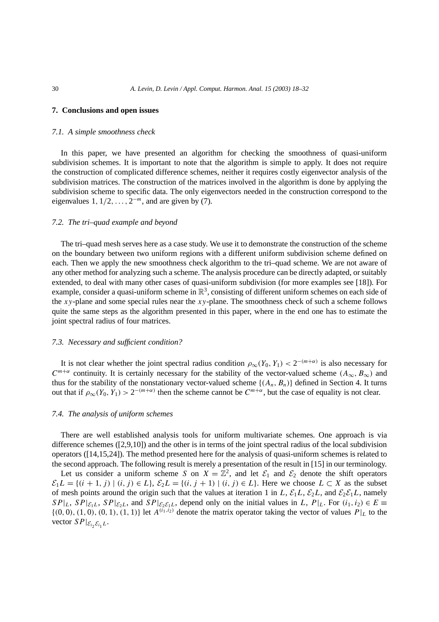### **7. Conclusions and open issues**

#### *7.1. A simple smoothness check*

In this paper, we have presented an algorithm for checking the smoothness of quasi-uniform subdivision schemes. It is important to note that the algorithm is simple to apply. It does not require the construction of complicated difference schemes, neither it requires costly eigenvector analysis of the subdivision matrices. The construction of the matrices involved in the algorithm is done by applying the subdivision scheme to specific data. The only eigenvectors needed in the construction correspond to the eigenvalues 1*,* 1*/*2*,...,* 2<sup>−</sup>*<sup>m</sup>*, and are given by (7).

#### *7.2. The tri–quad example and beyond*

The tri–quad mesh serves here as a case study. We use it to demonstrate the construction of the scheme on the boundary between two uniform regions with a different uniform subdivision scheme defined on each. Then we apply the new smoothness check algorithm to the tri–quad scheme. We are not aware of any other method for analyzing such a scheme. The analysis procedure can be directly adapted, or suitably extended, to deal with many other cases of quasi-uniform subdivision (for more examples see [18]). For example, consider a quasi-uniform scheme in  $\mathbb{R}^3$ , consisting of different uniform schemes on each side of the *xy*-plane and some special rules near the *xy*-plane. The smoothness check of such a scheme follows quite the same steps as the algorithm presented in this paper, where in the end one has to estimate the joint spectral radius of four matrices.

#### *7.3. Necessary and sufficient condition?*

It is not clear whether the joint spectral radius condition  $\rho_{\infty}(Y_0, Y_1) < 2^{-(m+\alpha)}$  is also necessary for *C*<sup>*m*+*α*</sup> continuity. It is certainly necessary for the stability of the vector-valued scheme  $(A_{\infty}, B_{\infty})$  and thus for the stability of the nonstationary vector-valued scheme  $\{(A_n, B_n)\}\$  defined in Section 4. It turns out that if  $\rho_{\infty}(Y_0, Y_1) > 2^{-(m+\alpha)}$  then the scheme cannot be  $C^{m+\alpha}$ , but the case of equality is not clear.

#### *7.4. The analysis of uniform schemes*

There are well established analysis tools for uniform multivariate schemes. One approach is via difference schemes ([2,9,10]) and the other is in terms of the joint spectral radius of the local subdivision operators ([14,15,24]). The method presented here for the analysis of quasi-uniform schemes is related to the second approach. The following result is merely a presentation of the result in [15] in our terminology.

Let us consider a uniform scheme *S* on  $X = \mathbb{Z}^2$ , and let  $\mathcal{E}_1$  and  $\mathcal{E}_2$  denote the shift operators  $\mathcal{E}_1 L = \{(i + 1, j) | (i, j) \in L\}, \mathcal{E}_2 L = \{(i, j + 1) | (i, j) \in L\}.$  Here we choose  $L \subset X$  as the subset of mesh points around the origin such that the values at iteration 1 in *L*,  $\mathcal{E}_1L$ ,  $\mathcal{E}_2L$ , and  $\mathcal{E}_2\mathcal{E}_1L$ , namely  $SPI|_L$ ,  $SP|_{\mathcal{E}_1L}$ ,  $SP|_{\mathcal{E}_2L}$ , and  $SP|_{\mathcal{E}_2\mathcal{E}_1L}$ , depend only on the initial values in *L*,  $P|_L$ . For  $(i_1, i_2) \in E \equiv$  $\{(0,0), (1,0), (0,1), (1,1)\}\$ let  $A^{(i_1,i_2)}$  denote the matrix operator taking the vector of values  $P|_L$  to the vector  $SP|_{\mathcal{E}_{i_2}\mathcal{E}_{i_1}L}$ .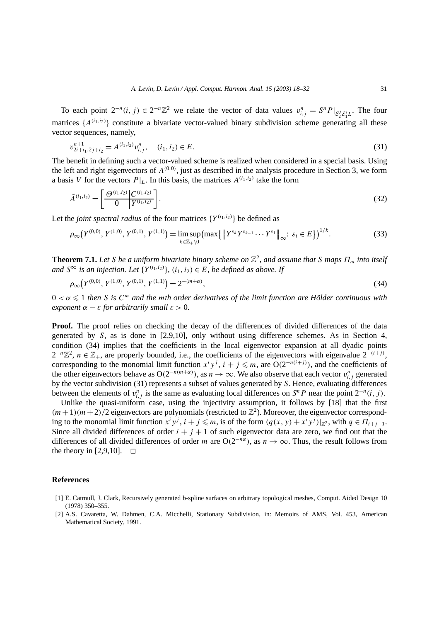To each point  $2^{-n}(i, j) \in 2^{-n}\mathbb{Z}^2$  we relate the vector of data values  $v_{i,j}^n = S^n P|_{\mathcal{E}_2^j \mathcal{E}_1^i L}$ . The four matrices  $\{A^{(i_1,i_2)}\}$  constitute a bivariate vector-valued binary subdivision scheme generating all these vector sequences, namely,

$$
v_{2i+i_1,2j+i_2}^{n+1} = A^{(i_1,i_2)} v_{i,j}^n, \quad (i_1,i_2) \in E.
$$
\n
$$
(31)
$$

The benefit in defining such a vector-valued scheme is realized when considered in a special basis. Using the left and right eigenvectors of  $A^{(0,0)}$ , just as described in the analysis procedure in Section 3, we form a basis *V* for the vectors  $P|_L$ . In this basis, the matrices  $A^{(i_1,i_2)}$  take the form

$$
\tilde{A}^{(i_1,i_2)} = \left[\frac{\Theta^{(i_1,i_2)}\left|C^{(i_1,i_2)}\right|}{0\left|Y^{(i_1,i_2)}\right|}\right].\tag{32}
$$

Let the *joint spectral radius* of the four matrices  $\{Y^{(i_1,i_2)}\}$  be defined as

$$
\rho_{\infty}(Y^{(0,0)}, Y^{(1,0)}, Y^{(0,1)}, Y^{(1,1)}) = \limsup_{k \in \mathbb{Z}_+ \setminus 0} \left( \max \{ \left\| Y^{\varepsilon_k} Y^{\varepsilon_{k-1}} \cdots Y^{\varepsilon_1} \right\|_{\infty} : \varepsilon_i \in E \} \right)^{1/k} . \tag{33}
$$

**Theorem 7.1.** Let *S* be a uniform bivariate binary scheme on  $\mathbb{Z}^2$ , and assume that *S* maps  $\Pi_m$  into itself *and*  $S^∞$  *is an injection. Let*  $\{Y^{(i_1,i_2)}\}$ ,  $(i_1,i_2) ∈ E$ , *be defined as above. If* 

$$
\rho_{\infty}(Y^{(0,0)}, Y^{(1,0)}, Y^{(0,1)}, Y^{(1,1)}) = 2^{-(m+\alpha)},\tag{34}
$$

 $0 < \alpha \leq 1$  then S is  $C^m$  and the mth order derivatives of the limit function are Hölder continuous with *exponent*  $\alpha - \varepsilon$  *for arbitrarily small*  $\varepsilon > 0$ *.* 

**Proof.** The proof relies on checking the decay of the differences of divided differences of the data generated by *S*, as is done in [2,9,10], only without using difference schemes. As in Section 4, condition (34) implies that the coefficients in the local eigenvector expansion at all dyadic points  $2^{-n}\mathbb{Z}^2$ ,  $n \in \mathbb{Z}_+$ , are properly bounded, i.e., the coefficients of the eigenvectors with eigenvalue  $2^{-(i+j)}$ , corresponding to the monomial limit function  $x^i y^j$ ,  $i + j \leq m$ , are O(2<sup>−*n*(*i*+*j*)), and the coefficients of</sup> the other eigenvectors behave as  $O(2^{-n(m+\alpha)})$ , as  $n \to \infty$ . We also observe that each vector  $v_{i,j}^n$  generated by the vector subdivision (31) represents a subset of values generated by *S*. Hence, evaluating differences between the elements of  $v_{i,j}^n$  is the same as evaluating local differences on  $S^n P$  near the point  $2^{-n}(i, j)$ .

Unlike the quasi-uniform case, using the injectivity assumption, it follows by [18] that the first  $(m+1)(m+2)/2$  eigenvectors are polynomials (restricted to  $\mathbb{Z}^2$ ). Moreover, the eigenvector corresponding to the monomial limit function  $x^i y^j$ ,  $i + j \leq m$ , is of the form  $(q(x, y) + x^i y^j)|_{\mathbb{Z}^2}$ , with  $q \in \Pi_{i+j-1}$ . Since all divided differences of order  $i + j + 1$  of such eigenvector data are zero, we find out that the differences of all divided differences of order *m* are  $O(2^{-n\alpha})$ , as  $n \to \infty$ . Thus, the result follows from the theory in [2,9,10].  $\Box$ 

## **References**

- [1] E. Catmull, J. Clark, Recursively generated b-spline surfaces on arbitrary topological meshes, Comput. Aided Design 10 (1978) 350–355.
- [2] A.S. Cavaretta, W. Dahmen, C.A. Micchelli, Stationary Subdivision, in: Memoirs of AMS, Vol. 453, American Mathematical Society, 1991.